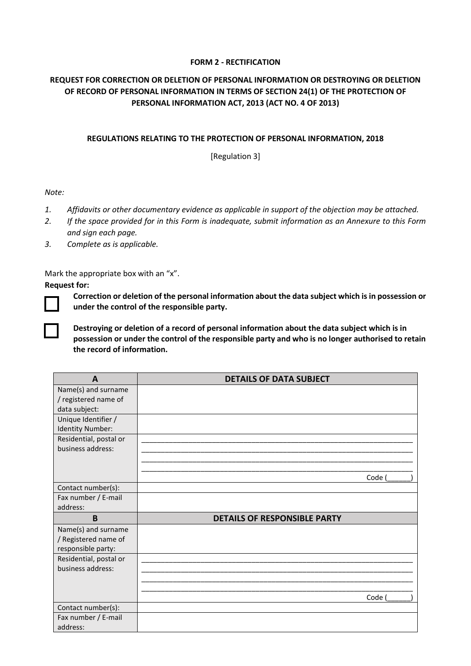## **FORM 2 - RECTIFICATION**

## **REQUEST FOR CORRECTION OR DELETION OF PERSONAL INFORMATION OR DESTROYING OR DELETION OF RECORD OF PERSONAL INFORMATION IN TERMS OF SECTION 24(1) OF THE PROTECTION OF PERSONAL INFORMATION ACT, 2013 (ACT NO. 4 OF 2013)**

## **REGULATIONS RELATING TO THE PROTECTION OF PERSONAL INFORMATION, 2018**

[Regulation 3]

*Note:*

- *1. Affidavits or other documentary evidence as applicable in support of the objection may be attached.*
- *2. If the space provided for in this Form is inadequate, submit information as an Annexure to this Form and sign each page.*
- *3. Complete as is applicable.*

Mark the appropriate box with an "x".

**Request for:**

**Correction or deletion of the personal information about the data subject which is in possession or under the control of the responsible party.**

**Destroying or deletion of a record of personal information about the data subject which is in possession or under the control of the responsible party and who is no longer authorised to retain the record of information.**

| A                      | <b>DETAILS OF DATA SUBJECT</b>      |  |
|------------------------|-------------------------------------|--|
| Name(s) and surname    |                                     |  |
| / registered name of   |                                     |  |
| data subject:          |                                     |  |
| Unique Identifier /    |                                     |  |
| Identity Number:       |                                     |  |
| Residential, postal or |                                     |  |
| business address:      |                                     |  |
|                        |                                     |  |
|                        |                                     |  |
|                        | Code (                              |  |
| Contact number(s):     |                                     |  |
| Fax number / E-mail    |                                     |  |
| address:               |                                     |  |
| B                      | <b>DETAILS OF RESPONSIBLE PARTY</b> |  |
| Name(s) and surname    |                                     |  |
| / Registered name of   |                                     |  |
| responsible party:     |                                     |  |
| Residential, postal or |                                     |  |
| business address:      |                                     |  |
|                        |                                     |  |
|                        |                                     |  |
|                        | Code                                |  |
| Contact number(s):     |                                     |  |
| Fax number / E-mail    |                                     |  |
| address:               |                                     |  |